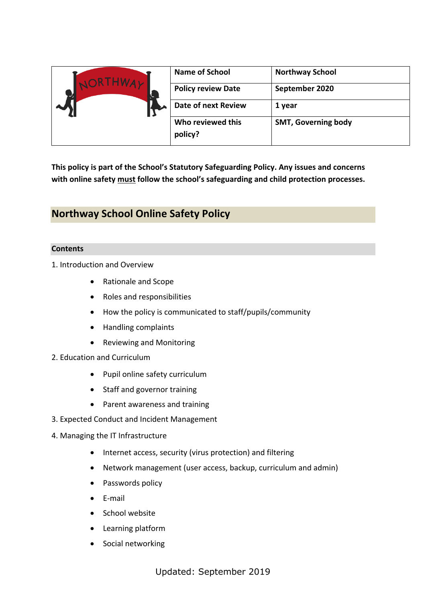| <b>JORTHWAY</b> | <b>Name of School</b>        | <b>Northway School</b>     |
|-----------------|------------------------------|----------------------------|
|                 | <b>Policy review Date</b>    | September 2020             |
|                 | <b>Date of next Review</b>   | 1 year                     |
|                 | Who reviewed this<br>policy? | <b>SMT, Governing body</b> |

**This policy is part of the School's Statutory Safeguarding Policy. Any issues and concerns with online safety must follow the school's safeguarding and child protection processes.**

# **Northway School Online Safety Policy**

# **Contents**

1. Introduction and Overview

- Rationale and Scope
- Roles and responsibilities
- How the policy is communicated to staff/pupils/community
- Handling complaints
- Reviewing and Monitoring
- 2. Education and Curriculum
	- Pupil online safety curriculum
	- Staff and governor training
	- Parent awareness and training
- 3. Expected Conduct and Incident Management
- 4. Managing the IT Infrastructure
	- Internet access, security (virus protection) and filtering
	- Network management (user access, backup, curriculum and admin)
	- Passwords policy
	- $\bullet$  F-mail
	- School website
	- Learning platform
	- Social networking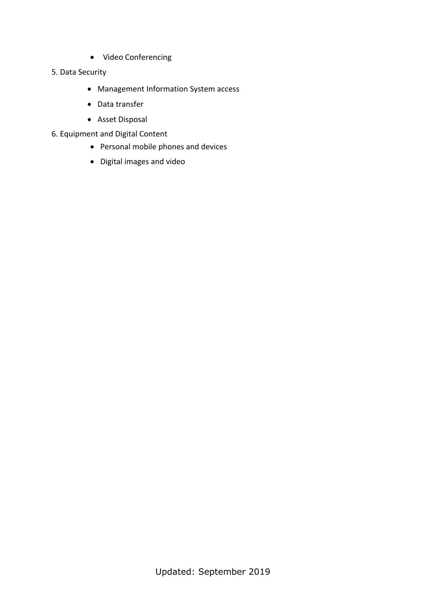Video Conferencing

### 5. Data Security

- Management Information System access
- Data transfer
- Asset Disposal
- 6. Equipment and Digital Content
	- Personal mobile phones and devices
	- Digital images and video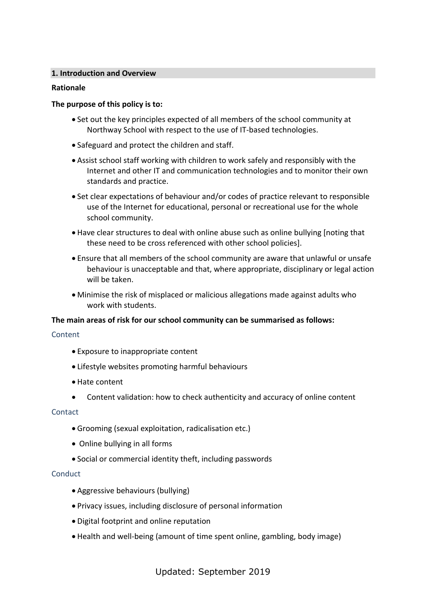# **1. Introduction and Overview**

# **Rationale**

### **The purpose of this policy is to:**

- Set out the key principles expected of all members of the school community at Northway School with respect to the use of IT-based technologies.
- Safeguard and protect the children and staff.
- Assist school staff working with children to work safely and responsibly with the Internet and other IT and communication technologies and to monitor their own standards and practice.
- Set clear expectations of behaviour and/or codes of practice relevant to responsible use of the Internet for educational, personal or recreational use for the whole school community.
- Have clear structures to deal with online abuse such as online bullying [noting that these need to be cross referenced with other school policies].
- Ensure that all members of the school community are aware that unlawful or unsafe behaviour is unacceptable and that, where appropriate, disciplinary or legal action will be taken.
- Minimise the risk of misplaced or malicious allegations made against adults who work with students.

### **The main areas of risk for our school community can be summarised as follows:**

### Content

- Exposure to inappropriate content
- Lifestyle websites promoting harmful behaviours
- Hate content
- Content validation: how to check authenticity and accuracy of online content

# **Contact**

- Grooming (sexual exploitation, radicalisation etc.)
- Online bullying in all forms
- Social or commercial identity theft, including passwords

### **Conduct**

- Aggressive behaviours (bullying)
- Privacy issues, including disclosure of personal information
- Digital footprint and online reputation
- Health and well-being (amount of time spent online, gambling, body image)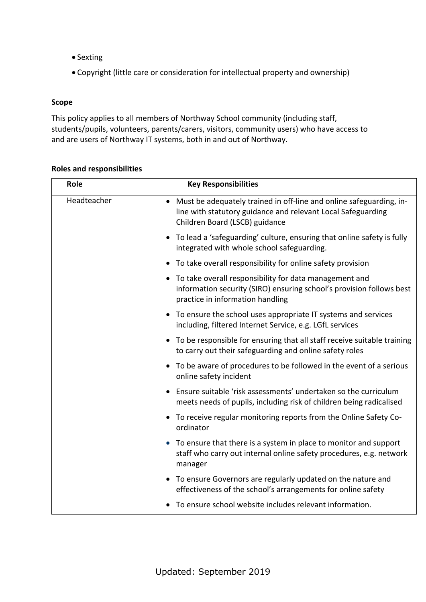- Sexting
- Copyright (little care or consideration for intellectual property and ownership)

# **Scope**

This policy applies to all members of Northway School community (including staff, students/pupils, volunteers, parents/carers, visitors, community users) who have access to and are users of Northway IT systems, both in and out of Northway.

| Role        | <b>Key Responsibilities</b>                                                                                                                                                        |
|-------------|------------------------------------------------------------------------------------------------------------------------------------------------------------------------------------|
| Headteacher | Must be adequately trained in off-line and online safeguarding, in-<br>$\bullet$<br>line with statutory guidance and relevant Local Safeguarding<br>Children Board (LSCB) guidance |
|             | To lead a 'safeguarding' culture, ensuring that online safety is fully<br>integrated with whole school safeguarding.                                                               |
|             | To take overall responsibility for online safety provision                                                                                                                         |
|             | To take overall responsibility for data management and<br>information security (SIRO) ensuring school's provision follows best<br>practice in information handling                 |
|             | To ensure the school uses appropriate IT systems and services<br>including, filtered Internet Service, e.g. LGfL services                                                          |
|             | To be responsible for ensuring that all staff receive suitable training<br>to carry out their safeguarding and online safety roles                                                 |
|             | To be aware of procedures to be followed in the event of a serious<br>online safety incident                                                                                       |
|             | Ensure suitable 'risk assessments' undertaken so the curriculum<br>meets needs of pupils, including risk of children being radicalised                                             |
|             | To receive regular monitoring reports from the Online Safety Co-<br>ordinator                                                                                                      |
|             | To ensure that there is a system in place to monitor and support<br>staff who carry out internal online safety procedures, e.g. network<br>manager                                 |
|             | To ensure Governors are regularly updated on the nature and<br>effectiveness of the school's arrangements for online safety                                                        |
|             | To ensure school website includes relevant information.                                                                                                                            |

# **Roles and responsibilities**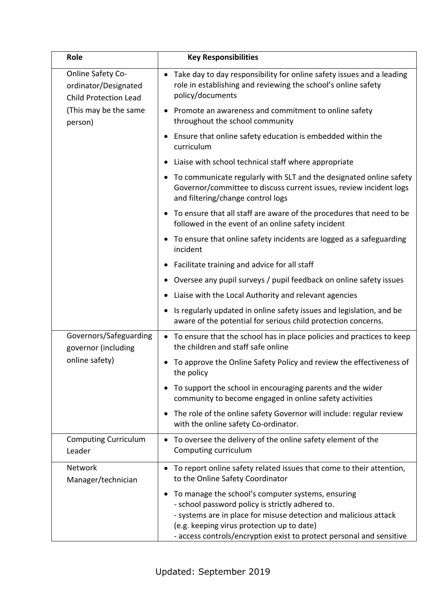| Role                                                                      | <b>Key Responsibilities</b>                                                                                                                                                                                                                                                                                  |
|---------------------------------------------------------------------------|--------------------------------------------------------------------------------------------------------------------------------------------------------------------------------------------------------------------------------------------------------------------------------------------------------------|
| Online Safety Co-<br>ordinator/Designated<br><b>Child Protection Lead</b> | Take day to day responsibility for online safety issues and a leading<br>role in establishing and reviewing the school's online safety<br>policy/documents                                                                                                                                                   |
| (This may be the same<br>person)                                          | Promote an awareness and commitment to online safety<br>throughout the school community                                                                                                                                                                                                                      |
|                                                                           | Ensure that online safety education is embedded within the<br>$\bullet$<br>curriculum                                                                                                                                                                                                                        |
|                                                                           | Liaise with school technical staff where appropriate<br>$\bullet$                                                                                                                                                                                                                                            |
|                                                                           | To communicate regularly with SLT and the designated online safety<br>$\bullet$<br>Governor/committee to discuss current issues, review incident logs<br>and filtering/change control logs                                                                                                                   |
|                                                                           | • To ensure that all staff are aware of the procedures that need to be<br>followed in the event of an online safety incident                                                                                                                                                                                 |
|                                                                           | • To ensure that online safety incidents are logged as a safeguarding<br>incident                                                                                                                                                                                                                            |
|                                                                           | Facilitate training and advice for all staff<br>$\bullet$                                                                                                                                                                                                                                                    |
|                                                                           | Oversee any pupil surveys / pupil feedback on online safety issues<br>$\bullet$                                                                                                                                                                                                                              |
|                                                                           | Liaise with the Local Authority and relevant agencies                                                                                                                                                                                                                                                        |
|                                                                           | Is regularly updated in online safety issues and legislation, and be<br>$\bullet$<br>aware of the potential for serious child protection concerns.                                                                                                                                                           |
| Governors/Safeguarding<br>governor (including                             | • To ensure that the school has in place policies and practices to keep<br>the children and staff safe online                                                                                                                                                                                                |
| online safety)                                                            | To approve the Online Safety Policy and review the effectiveness of<br>$\bullet$<br>the policy                                                                                                                                                                                                               |
|                                                                           | To support the school in encouraging parents and the wider<br>$\bullet$<br>community to become engaged in online safety activities                                                                                                                                                                           |
|                                                                           | The role of the online safety Governor will include: regular review<br>$\bullet$<br>with the online safety Co-ordinator.                                                                                                                                                                                     |
| <b>Computing Curriculum</b><br>Leader                                     | To oversee the delivery of the online safety element of the<br>$\bullet$<br>Computing curriculum                                                                                                                                                                                                             |
| Network<br>Manager/technician                                             | To report online safety related issues that come to their attention,<br>$\bullet$<br>to the Online Safety Coordinator                                                                                                                                                                                        |
|                                                                           | To manage the school's computer systems, ensuring<br>$\bullet$<br>- school password policy is strictly adhered to.<br>- systems are in place for misuse detection and malicious attack<br>(e.g. keeping virus protection up to date)<br>- access controls/encryption exist to protect personal and sensitive |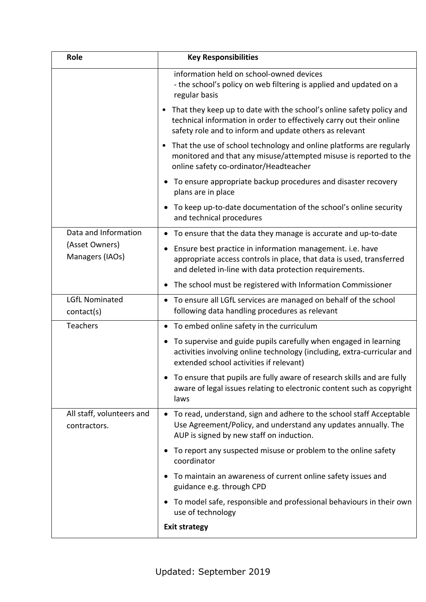| Role                                      | <b>Key Responsibilities</b>                                                                                                                                                                               |  |
|-------------------------------------------|-----------------------------------------------------------------------------------------------------------------------------------------------------------------------------------------------------------|--|
|                                           | information held on school-owned devices<br>- the school's policy on web filtering is applied and updated on a<br>regular basis                                                                           |  |
|                                           | • That they keep up to date with the school's online safety policy and<br>technical information in order to effectively carry out their online<br>safety role and to inform and update others as relevant |  |
|                                           | • That the use of school technology and online platforms are regularly<br>monitored and that any misuse/attempted misuse is reported to the<br>online safety co-ordinator/Headteacher                     |  |
|                                           | To ensure appropriate backup procedures and disaster recovery<br>$\bullet$<br>plans are in place                                                                                                          |  |
|                                           | To keep up-to-date documentation of the school's online security<br>$\bullet$<br>and technical procedures                                                                                                 |  |
| Data and Information                      | • To ensure that the data they manage is accurate and up-to-date                                                                                                                                          |  |
| (Asset Owners)<br>Managers (IAOs)         | Ensure best practice in information management. i.e. have<br>٠<br>appropriate access controls in place, that data is used, transferred<br>and deleted in-line with data protection requirements.          |  |
|                                           | The school must be registered with Information Commissioner<br>$\bullet$                                                                                                                                  |  |
| <b>LGfL Nominated</b><br>contact(s)       | To ensure all LGfL services are managed on behalf of the school<br>$\bullet$<br>following data handling procedures as relevant                                                                            |  |
| Teachers                                  | To embed online safety in the curriculum<br>$\bullet$                                                                                                                                                     |  |
|                                           | To supervise and guide pupils carefully when engaged in learning<br>$\bullet$<br>activities involving online technology (including, extra-curricular and<br>extended school activities if relevant)       |  |
|                                           | To ensure that pupils are fully aware of research skills and are fully<br>aware of legal issues relating to electronic content such as copyright<br>laws                                                  |  |
| All staff, volunteers and<br>contractors. | • To read, understand, sign and adhere to the school staff Acceptable<br>Use Agreement/Policy, and understand any updates annually. The<br>AUP is signed by new staff on induction.                       |  |
|                                           | To report any suspected misuse or problem to the online safety<br>coordinator                                                                                                                             |  |
|                                           | To maintain an awareness of current online safety issues and<br>guidance e.g. through CPD                                                                                                                 |  |
|                                           | To model safe, responsible and professional behaviours in their own<br>$\bullet$<br>use of technology                                                                                                     |  |
|                                           | <b>Exit strategy</b>                                                                                                                                                                                      |  |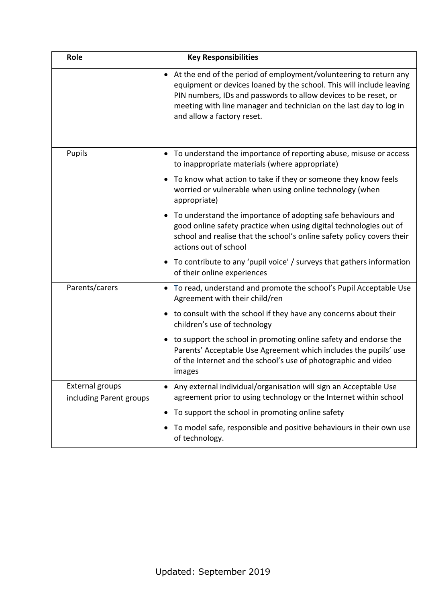| Role                                              | <b>Key Responsibilities</b>                                                                                                                                                                                                                                                                                        |
|---------------------------------------------------|--------------------------------------------------------------------------------------------------------------------------------------------------------------------------------------------------------------------------------------------------------------------------------------------------------------------|
|                                                   | • At the end of the period of employment/volunteering to return any<br>equipment or devices loaned by the school. This will include leaving<br>PIN numbers, IDs and passwords to allow devices to be reset, or<br>meeting with line manager and technician on the last day to log in<br>and allow a factory reset. |
| Pupils                                            | To understand the importance of reporting abuse, misuse or access<br>$\bullet$<br>to inappropriate materials (where appropriate)                                                                                                                                                                                   |
|                                                   | To know what action to take if they or someone they know feels<br>$\bullet$<br>worried or vulnerable when using online technology (when<br>appropriate)                                                                                                                                                            |
|                                                   | To understand the importance of adopting safe behaviours and<br>$\bullet$<br>good online safety practice when using digital technologies out of<br>school and realise that the school's online safety policy covers their<br>actions out of school                                                                 |
|                                                   | To contribute to any 'pupil voice' / surveys that gathers information<br>$\bullet$<br>of their online experiences                                                                                                                                                                                                  |
| Parents/carers                                    | • To read, understand and promote the school's Pupil Acceptable Use<br>Agreement with their child/ren                                                                                                                                                                                                              |
|                                                   | • to consult with the school if they have any concerns about their<br>children's use of technology                                                                                                                                                                                                                 |
|                                                   | to support the school in promoting online safety and endorse the<br>$\bullet$<br>Parents' Acceptable Use Agreement which includes the pupils' use<br>of the Internet and the school's use of photographic and video<br>images                                                                                      |
| <b>External groups</b><br>including Parent groups | Any external individual/organisation will sign an Acceptable Use<br>agreement prior to using technology or the Internet within school                                                                                                                                                                              |
|                                                   | To support the school in promoting online safety<br>٠                                                                                                                                                                                                                                                              |
|                                                   | To model safe, responsible and positive behaviours in their own use<br>$\bullet$<br>of technology.                                                                                                                                                                                                                 |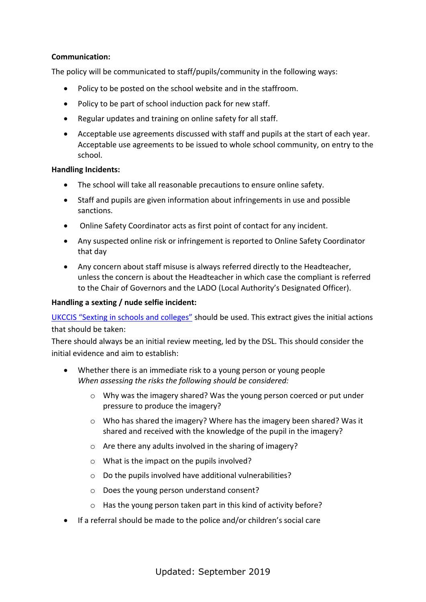# **Communication:**

The policy will be communicated to staff/pupils/community in the following ways:

- Policy to be posted on the school website and in the staffroom.
- Policy to be part of school induction pack for new staff.
- Regular updates and training on online safety for all staff.
- Acceptable use agreements discussed with staff and pupils at the start of each year. Acceptable use agreements to be issued to whole school community, on entry to the school.

#### **Handling Incidents:**

- The school will take all reasonable precautions to ensure online safety.
- Staff and pupils are given information about infringements in use and possible sanctions.
- Online Safety Coordinator acts as first point of contact for any incident.
- Any suspected online risk or infringement is reported to Online Safety Coordinator that day
- Any concern about staff misuse is always referred directly to the Headteacher, unless the concern is about the Headteacher in which case the compliant is referred to the Chair of Governors and the LADO (Local Authority's Designated Officer).

### **Handling a sexting / nude selfie incident:**

[UKCCIS "Sexting in schools and colleges"](http://sexting.lgfl.net/) should be used. This extract gives the initial actions that should be taken:

There should always be an initial review meeting, led by the DSL. This should consider the initial evidence and aim to establish:

- Whether there is an immediate risk to a young person or young people *When assessing the risks the following should be considered:* 
	- o Why was the imagery shared? Was the young person coerced or put under pressure to produce the imagery?
	- $\circ$  Who has shared the imagery? Where has the imagery been shared? Was it shared and received with the knowledge of the pupil in the imagery?
	- o Are there any adults involved in the sharing of imagery?
	- o What is the impact on the pupils involved?
	- o Do the pupils involved have additional vulnerabilities?
	- o Does the young person understand consent?
	- o Has the young person taken part in this kind of activity before?
- If a referral should be made to the police and/or children's social care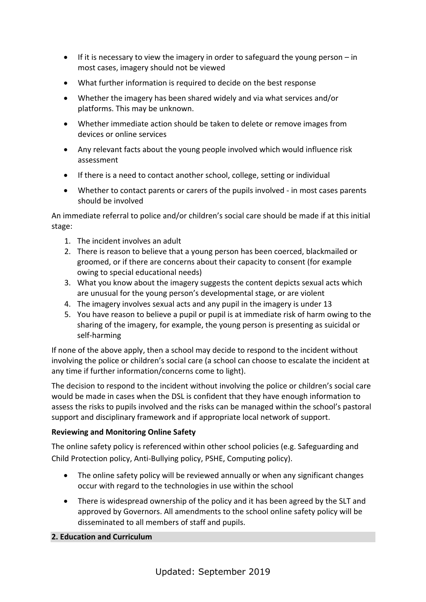- $\bullet$  If it is necessary to view the imagery in order to safeguard the young person in most cases, imagery should not be viewed
- What further information is required to decide on the best response
- Whether the imagery has been shared widely and via what services and/or platforms. This may be unknown.
- Whether immediate action should be taken to delete or remove images from devices or online services
- Any relevant facts about the young people involved which would influence risk assessment
- If there is a need to contact another school, college, setting or individual
- Whether to contact parents or carers of the pupils involved in most cases parents should be involved

An immediate referral to police and/or children's social care should be made if at this initial stage:

- 1. The incident involves an adult
- 2. There is reason to believe that a young person has been coerced, blackmailed or groomed, or if there are concerns about their capacity to consent (for example owing to special educational needs)
- 3. What you know about the imagery suggests the content depicts sexual acts which are unusual for the young person's developmental stage, or are violent
- 4. The imagery involves sexual acts and any pupil in the imagery is under 13
- 5. You have reason to believe a pupil or pupil is at immediate risk of harm owing to the sharing of the imagery, for example, the young person is presenting as suicidal or self-harming

If none of the above apply, then a school may decide to respond to the incident without involving the police or children's social care (a school can choose to escalate the incident at any time if further information/concerns come to light).

The decision to respond to the incident without involving the police or children's social care would be made in cases when the DSL is confident that they have enough information to assess the risks to pupils involved and the risks can be managed within the school's pastoral support and disciplinary framework and if appropriate local network of support.

# **Reviewing and Monitoring Online Safety**

The online safety policy is referenced within other school policies (e.g. Safeguarding and Child Protection policy, Anti-Bullying policy, PSHE, Computing policy).

- The online safety policy will be reviewed annually or when any significant changes occur with regard to the technologies in use within the school
- There is widespread ownership of the policy and it has been agreed by the SLT and approved by Governors. All amendments to the school online safety policy will be disseminated to all members of staff and pupils.

# **2. Education and Curriculum**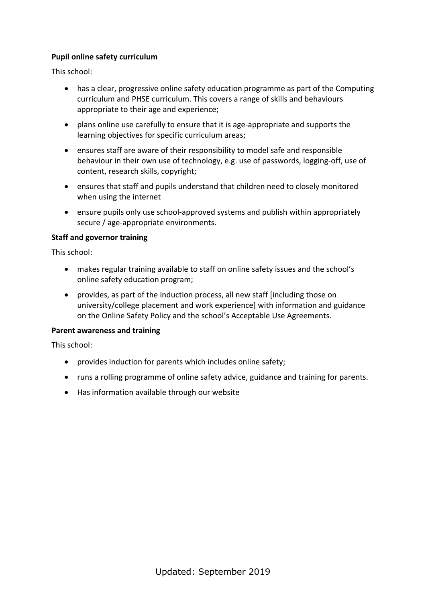# **Pupil online safety curriculum**

This school:

- has a clear, progressive online safety education programme as part of the Computing curriculum and PHSE curriculum. This covers a range of skills and behaviours appropriate to their age and experience;
- plans online use carefully to ensure that it is age-appropriate and supports the learning objectives for specific curriculum areas;
- ensures staff are aware of their responsibility to model safe and responsible behaviour in their own use of technology, e.g. use of passwords, logging-off, use of content, research skills, copyright;
- ensures that staff and pupils understand that children need to closely monitored when using the internet
- ensure pupils only use school-approved systems and publish within appropriately secure / age-appropriate environments.

### **Staff and governor training**

This school:

- makes regular training available to staff on online safety issues and the school's online safety education program;
- provides, as part of the induction process, all new staff [including those on university/college placement and work experience] with information and guidance on the Online Safety Policy and the school's Acceptable Use Agreements.

### **Parent awareness and training**

This school:

- provides induction for parents which includes online safety;
- runs a rolling programme of online safety advice, guidance and training for parents.
- Has information available through our website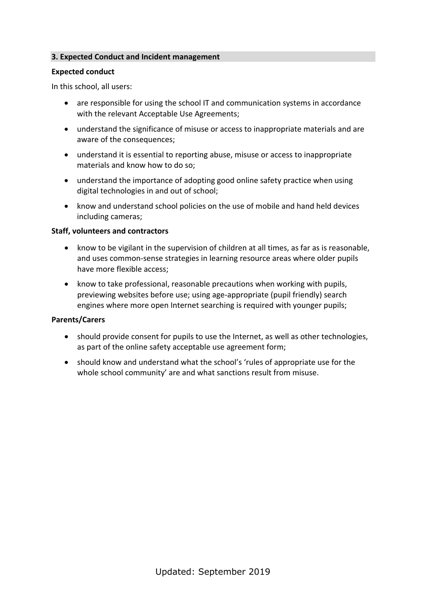### **3. Expected Conduct and Incident management**

#### **Expected conduct**

In this school, all users:

- are responsible for using the school IT and communication systems in accordance with the relevant Acceptable Use Agreements;
- understand the significance of misuse or access to inappropriate materials and are aware of the consequences;
- understand it is essential to reporting abuse, misuse or access to inappropriate materials and know how to do so;
- understand the importance of adopting good online safety practice when using digital technologies in and out of school;
- know and understand school policies on the use of mobile and hand held devices including cameras;

### **Staff, volunteers and contractors**

- know to be vigilant in the supervision of children at all times, as far as is reasonable, and uses common-sense strategies in learning resource areas where older pupils have more flexible access;
- know to take professional, reasonable precautions when working with pupils, previewing websites before use; using age-appropriate (pupil friendly) search engines where more open Internet searching is required with younger pupils;

### **Parents/Carers**

- should provide consent for pupils to use the Internet, as well as other technologies, as part of the online safety acceptable use agreement form;
- should know and understand what the school's 'rules of appropriate use for the whole school community' are and what sanctions result from misuse.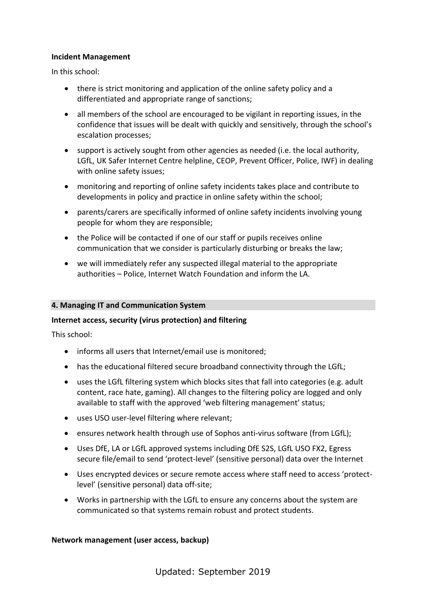### **Incident Management**

In this school:

- there is strict monitoring and application of the online safety policy and a differentiated and appropriate range of sanctions;
- all members of the school are encouraged to be vigilant in reporting issues, in the confidence that issues will be dealt with quickly and sensitively, through the school's escalation processes;
- support is actively sought from other agencies as needed (i.e. the local authority, LGfL, UK Safer Internet Centre helpline, CEOP, Prevent Officer, Police, IWF) in dealing with online safety issues;
- monitoring and reporting of online safety incidents takes place and contribute to developments in policy and practice in online safety within the school;
- parents/carers are specifically informed of online safety incidents involving young people for whom they are responsible;
- the Police will be contacted if one of our staff or pupils receives online communication that we consider is particularly disturbing or breaks the law;
- we will immediately refer any suspected illegal material to the appropriate authorities – Police, Internet Watch Foundation and inform the LA.

### **4. Managing IT and Communication System**

# **Internet access, security (virus protection) and filtering**

This school:

- informs all users that Internet/email use is monitored;
- has the educational filtered secure broadband connectivity through the LGfL;
- uses the LGfL filtering system which blocks sites that fall into categories (e.g. adult content, race hate, gaming). All changes to the filtering policy are logged and only available to staff with the approved 'web filtering management' status;
- uses USO user-level filtering where relevant;
- ensures network health through use of Sophos anti-virus software (from LGfL);
- Uses DfE, LA or LGfL approved systems including DfE S2S, LGfL USO FX2, Egress secure file/email to send 'protect-level' (sensitive personal) data over the Internet
- Uses encrypted devices or secure remote access where staff need to access 'protectlevel' (sensitive personal) data off-site;
- Works in partnership with the LGfL to ensure any concerns about the system are communicated so that systems remain robust and protect students.

### **Network management (user access, backup)**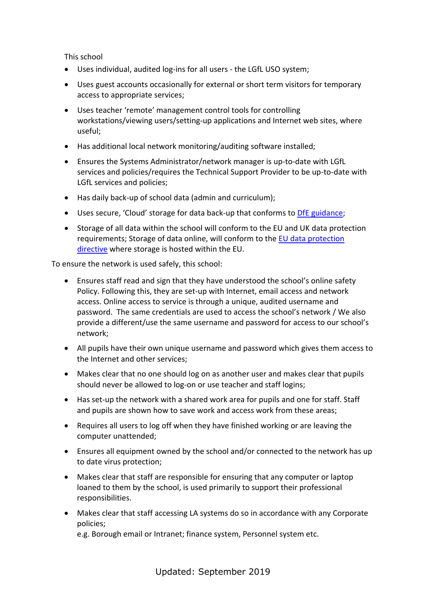This school

- Uses individual, audited log-ins for all users the LGfL USO system;
- Uses guest accounts occasionally for external or short term visitors for temporary access to appropriate services;
- Uses teacher 'remote' management control tools for controlling workstations/viewing users/setting-up applications and Internet web sites, where useful;
- Has additional local network monitoring/auditing software installed;
- Ensures the Systems Administrator/network manager is up-to-date with LGfL services and policies/requires the Technical Support Provider to be up-to-date with LGfL services and policies;
- Has daily back-up of school data (admin and curriculum);
- Uses secure, 'Cloud' storage for data back-up that conforms to [DfE guidance;](https://www.gov.uk/government/publications/cloud-software-services-and-the-data-protection-act)
- Storage of all data within the school will conform to the EU and UK data protection requirements; Storage of data online, will conform to the [EU data protection](http://en.wikipedia.org/wiki/Data_Protection_Directive)  [directive](http://en.wikipedia.org/wiki/Data_Protection_Directive) where storage is hosted within the EU.

To ensure the network is used safely, this school:

- Ensures staff read and sign that they have understood the school's online safety Policy. Following this, they are set-up with Internet, email access and network access. Online access to service is through a unique, audited username and password. The same credentials are used to access the school's network / We also provide a different/use the same username and password for access to our school's network;
- All pupils have their own unique username and password which gives them access to the Internet and other services;
- Makes clear that no one should log on as another user and makes clear that pupils should never be allowed to log-on or use teacher and staff logins;
- Has set-up the network with a shared work area for pupils and one for staff. Staff and pupils are shown how to save work and access work from these areas;
- Requires all users to log off when they have finished working or are leaving the computer unattended;
- Ensures all equipment owned by the school and/or connected to the network has up to date virus protection;
- Makes clear that staff are responsible for ensuring that any computer or laptop loaned to them by the school, is used primarily to support their professional responsibilities.
- Makes clear that staff accessing LA systems do so in accordance with any Corporate policies;

e.g. Borough email or Intranet; finance system, Personnel system etc.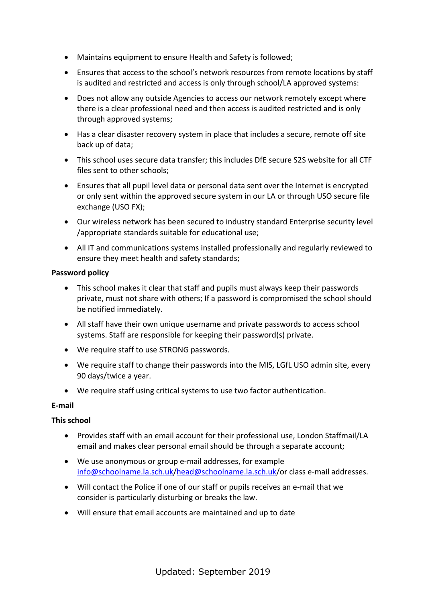- Maintains equipment to ensure Health and Safety is followed;
- Ensures that access to the school's network resources from remote locations by staff is audited and restricted and access is only through school/LA approved systems:
- Does not allow any outside Agencies to access our network remotely except where there is a clear professional need and then access is audited restricted and is only through approved systems;
- Has a clear disaster recovery system in place that includes a secure, remote off site back up of data;
- This school uses secure data transfer; this includes DfE secure S2S website for all CTF files sent to other schools;
- Ensures that all pupil level data or personal data sent over the Internet is encrypted or only sent within the approved secure system in our LA or through USO secure file exchange (USO FX);
- Our wireless network has been secured to industry standard Enterprise security level /appropriate standards suitable for educational use;
- All IT and communications systems installed professionally and regularly reviewed to ensure they meet health and safety standards;

# **Password policy**

- This school makes it clear that staff and pupils must always keep their passwords private, must not share with others; If a password is compromised the school should be notified immediately.
- All staff have their own unique username and private passwords to access school systems. Staff are responsible for keeping their password(s) private.
- We require staff to use STRONG passwords.
- We require staff to change their passwords into the MIS, LGfL USO admin site, every 90 days/twice a year.
- We require staff using critical systems to use two factor authentication.

# **E-mail**

# **This school**

- Provides staff with an email account for their professional use, London Staffmail/LA email and makes clear personal email should be through a separate account;
- We use anonymous or group e-mail addresses, for example [info@schoolname.la.sch.uk/](mailto:info@schoolname.la.sch.uk)[head@schoolname.la.sch.uk/](mailto:head@schoolname.la.sch.uk)or class e-mail addresses.
- Will contact the Police if one of our staff or pupils receives an e-mail that we consider is particularly disturbing or breaks the law.
- Will ensure that email accounts are maintained and up to date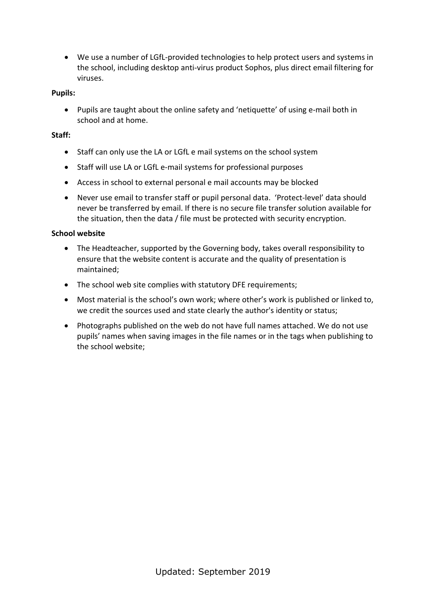We use a number of LGfL-provided technologies to help protect users and systems in the school, including desktop anti-virus product Sophos, plus direct email filtering for viruses.

# **Pupils:**

 Pupils are taught about the online safety and 'netiquette' of using e-mail both in school and at home.

# **Staff:**

- Staff can only use the LA or LGfL e mail systems on the school system
- Staff will use LA or LGfL e-mail systems for professional purposes
- Access in school to external personal e mail accounts may be blocked
- Never use email to transfer staff or pupil personal data. 'Protect-level' data should never be transferred by email. If there is no secure file transfer solution available for the situation, then the data / file must be protected with security encryption.

# **School website**

- The Headteacher, supported by the Governing body, takes overall responsibility to ensure that the website content is accurate and the quality of presentation is maintained;
- The school web site complies with statutory DFE requirements;
- Most material is the school's own work; where other's work is published or linked to, we credit the sources used and state clearly the author's identity or status;
- Photographs published on the web do not have full names attached. We do not use pupils' names when saving images in the file names or in the tags when publishing to the school website;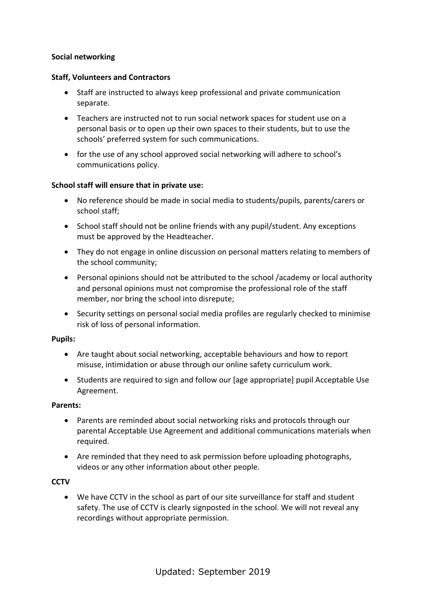# **Social networking**

### **Staff, Volunteers and Contractors**

- Staff are instructed to always keep professional and private communication separate.
- Teachers are instructed not to run social network spaces for student use on a personal basis or to open up their own spaces to their students, but to use the schools' preferred system for such communications.
- for the use of any school approved social networking will adhere to school's communications policy.

# **School staff will ensure that in private use:**

- No reference should be made in social media to students/pupils, parents/carers or school staff;
- School staff should not be online friends with any pupil/student. Any exceptions must be approved by the Headteacher.
- They do not engage in online discussion on personal matters relating to members of the school community;
- Personal opinions should not be attributed to the school /academy or local authority and personal opinions must not compromise the professional role of the staff member, nor bring the school into disrepute;
- Security settings on personal social media profiles are regularly checked to minimise risk of loss of personal information.

### **Pupils:**

- Are taught about social networking, acceptable behaviours and how to report misuse, intimidation or abuse through our online safety curriculum work.
- Students are required to sign and follow our [age appropriate] pupil Acceptable Use Agreement.

### **Parents:**

- Parents are reminded about social networking risks and protocols through our parental Acceptable Use Agreement and additional communications materials when required.
- Are reminded that they need to ask permission before uploading photographs, videos or any other information about other people.

### **CCTV**

 We have CCTV in the school as part of our site surveillance for staff and student safety. The use of CCTV is clearly signposted in the school. We will not reveal any recordings without appropriate permission.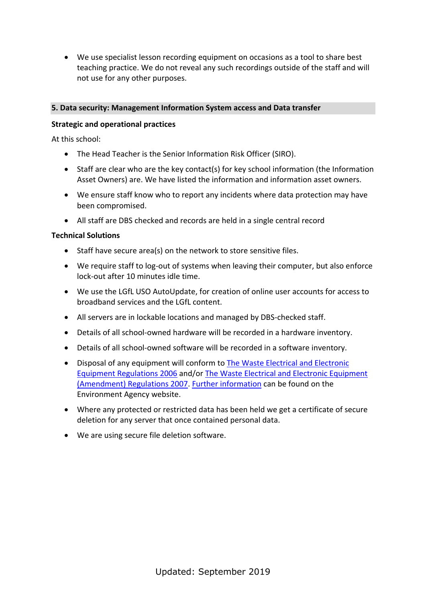We use specialist lesson recording equipment on occasions as a tool to share best teaching practice. We do not reveal any such recordings outside of the staff and will not use for any other purposes.

# **5. Data security: Management Information System access and Data transfer**

# **Strategic and operational practices**

At this school:

- The Head Teacher is the Senior Information Risk Officer (SIRO).
- Staff are clear who are the key contact(s) for key school information (the Information Asset Owners) are. We have listed the information and information asset owners.
- We ensure staff know who to report any incidents where data protection may have been compromised.
- All staff are DBS checked and records are held in a single central record

### **Technical Solutions**

- Staff have secure area(s) on the network to store sensitive files.
- We require staff to log-out of systems when leaving their computer, but also enforce lock-out after 10 minutes idle time.
- We use the LGfL USO AutoUpdate, for creation of online user accounts for access to broadband services and the LGfL content.
- All servers are in lockable locations and managed by DBS-checked staff.
- Details of all school-owned hardware will be recorded in a hardware inventory.
- Details of all school-owned software will be recorded in a software inventory.
- Disposal of any equipment will conform to [The Waste Electrical and Electronic](http://www.legislation.gov.uk/uksi/2006/3289/pdfs/uksi_20063289_en.pdf)  [Equipment Regulations 2006](http://www.legislation.gov.uk/uksi/2006/3289/pdfs/uksi_20063289_en.pdf) and/or [The Waste Electrical and Electronic Equipment](http://www.legislation.gov.uk/uksi/2007/3454/pdfs/uksi_20073454_en.pdf)  [\(Amendment\) Regulations 2007.](http://www.legislation.gov.uk/uksi/2007/3454/pdfs/uksi_20073454_en.pdf) [Further information](http://www.environment-agency.gov.uk/business/topics/waste/32084.aspx) can be found on the Environment Agency website.
- Where any protected or restricted data has been held we get a certificate of secure deletion for any server that once contained personal data.
- We are using secure file deletion software.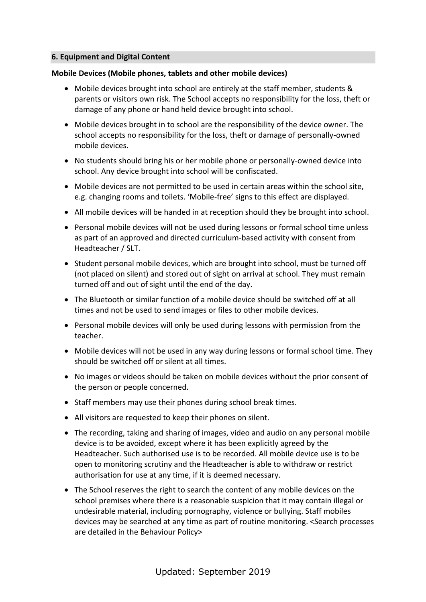### **6. Equipment and Digital Content**

# **Mobile Devices (Mobile phones, tablets and other mobile devices)**

- Mobile devices brought into school are entirely at the staff member, students & parents or visitors own risk. The School accepts no responsibility for the loss, theft or damage of any phone or hand held device brought into school.
- Mobile devices brought in to school are the responsibility of the device owner. The school accepts no responsibility for the loss, theft or damage of personally-owned mobile devices.
- No students should bring his or her mobile phone or personally-owned device into school. Any device brought into school will be confiscated.
- Mobile devices are not permitted to be used in certain areas within the school site, e.g. changing rooms and toilets. 'Mobile-free' signs to this effect are displayed.
- All mobile devices will be handed in at reception should they be brought into school.
- Personal mobile devices will not be used during lessons or formal school time unless as part of an approved and directed curriculum-based activity with consent from Headteacher / SLT.
- Student personal mobile devices, which are brought into school, must be turned off (not placed on silent) and stored out of sight on arrival at school. They must remain turned off and out of sight until the end of the day.
- The Bluetooth or similar function of a mobile device should be switched off at all times and not be used to send images or files to other mobile devices.
- Personal mobile devices will only be used during lessons with permission from the teacher.
- Mobile devices will not be used in any way during lessons or formal school time. They should be switched off or silent at all times.
- No images or videos should be taken on mobile devices without the prior consent of the person or people concerned.
- Staff members may use their phones during school break times.
- All visitors are requested to keep their phones on silent.
- The recording, taking and sharing of images, video and audio on any personal mobile device is to be avoided, except where it has been explicitly agreed by the Headteacher. Such authorised use is to be recorded. All mobile device use is to be open to monitoring scrutiny and the Headteacher is able to withdraw or restrict authorisation for use at any time, if it is deemed necessary.
- The School reserves the right to search the content of any mobile devices on the school premises where there is a reasonable suspicion that it may contain illegal or undesirable material, including pornography, violence or bullying. Staff mobiles devices may be searched at any time as part of routine monitoring. <Search processes are detailed in the Behaviour Policy>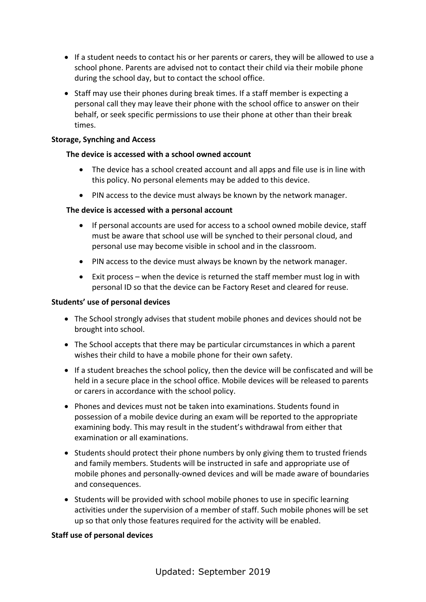- If a student needs to contact his or her parents or carers, they will be allowed to use a school phone. Parents are advised not to contact their child via their mobile phone during the school day, but to contact the school office.
- Staff may use their phones during break times. If a staff member is expecting a personal call they may leave their phone with the school office to answer on their behalf, or seek specific permissions to use their phone at other than their break times.

### **Storage, Synching and Access**

# **The device is accessed with a school owned account**

- The device has a school created account and all apps and file use is in line with this policy. No personal elements may be added to this device.
- PIN access to the device must always be known by the network manager.

# **The device is accessed with a personal account**

- If personal accounts are used for access to a school owned mobile device, staff must be aware that school use will be synched to their personal cloud, and personal use may become visible in school and in the classroom.
- PIN access to the device must always be known by the network manager.
- Exit process when the device is returned the staff member must log in with personal ID so that the device can be Factory Reset and cleared for reuse.

### **Students' use of personal devices**

- The School strongly advises that student mobile phones and devices should not be brought into school.
- The School accepts that there may be particular circumstances in which a parent wishes their child to have a mobile phone for their own safety.
- If a student breaches the school policy, then the device will be confiscated and will be held in a secure place in the school office. Mobile devices will be released to parents or carers in accordance with the school policy.
- Phones and devices must not be taken into examinations. Students found in possession of a mobile device during an exam will be reported to the appropriate examining body. This may result in the student's withdrawal from either that examination or all examinations.
- Students should protect their phone numbers by only giving them to trusted friends and family members. Students will be instructed in safe and appropriate use of mobile phones and personally-owned devices and will be made aware of boundaries and consequences.
- Students will be provided with school mobile phones to use in specific learning activities under the supervision of a member of staff. Such mobile phones will be set up so that only those features required for the activity will be enabled.

### **Staff use of personal devices**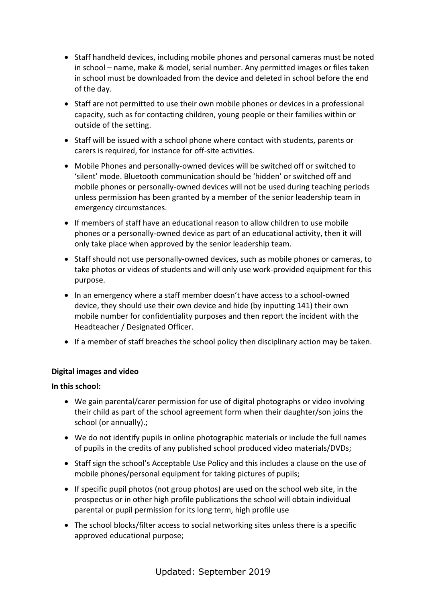- Staff handheld devices, including mobile phones and personal cameras must be noted in school – name, make & model, serial number. Any permitted images or files taken in school must be downloaded from the device and deleted in school before the end of the day.
- Staff are not permitted to use their own mobile phones or devices in a professional capacity, such as for contacting children, young people or their families within or outside of the setting.
- Staff will be issued with a school phone where contact with students, parents or carers is required, for instance for off-site activities.
- Mobile Phones and personally-owned devices will be switched off or switched to 'silent' mode. Bluetooth communication should be 'hidden' or switched off and mobile phones or personally-owned devices will not be used during teaching periods unless permission has been granted by a member of the senior leadership team in emergency circumstances.
- If members of staff have an educational reason to allow children to use mobile phones or a personally-owned device as part of an educational activity, then it will only take place when approved by the senior leadership team.
- Staff should not use personally-owned devices, such as mobile phones or cameras, to take photos or videos of students and will only use work-provided equipment for this purpose.
- In an emergency where a staff member doesn't have access to a school-owned device, they should use their own device and hide (by inputting 141) their own mobile number for confidentiality purposes and then report the incident with the Headteacher / Designated Officer.
- If a member of staff breaches the school policy then disciplinary action may be taken.

# **Digital images and video**

# **In this school:**

- We gain parental/carer permission for use of digital photographs or video involving their child as part of the school agreement form when their daughter/son joins the school (or annually).;
- We do not identify pupils in online photographic materials or include the full names of pupils in the credits of any published school produced video materials/DVDs;
- Staff sign the school's Acceptable Use Policy and this includes a clause on the use of mobile phones/personal equipment for taking pictures of pupils;
- $\bullet$  If specific pupil photos (not group photos) are used on the school web site, in the prospectus or in other high profile publications the school will obtain individual parental or pupil permission for its long term, high profile use
- The school blocks/filter access to social networking sites unless there is a specific approved educational purpose;